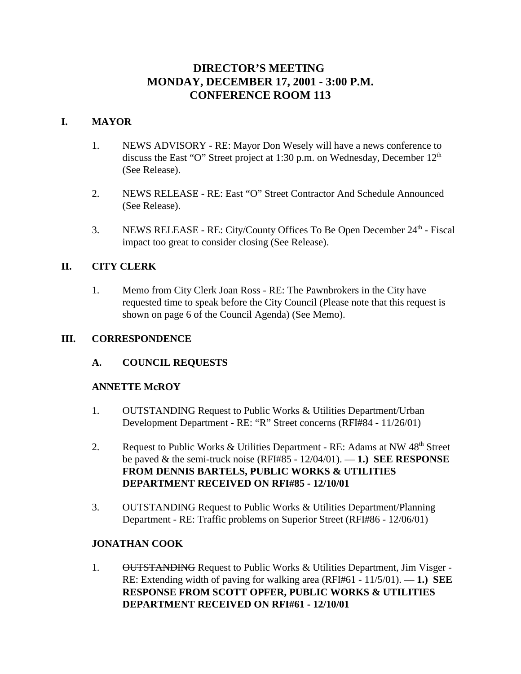# **DIRECTOR'S MEETING MONDAY, DECEMBER 17, 2001 - 3:00 P.M. CONFERENCE ROOM 113**

## **I. MAYOR**

- 1. NEWS ADVISORY RE: Mayor Don Wesely will have a news conference to discuss the East "O" Street project at 1:30 p.m. on Wednesday, December 12<sup>th</sup> (See Release).
- 2. NEWS RELEASE RE: East "O" Street Contractor And Schedule Announced (See Release).
- 3. NEWS RELEASE RE: City/County Offices To Be Open December 24<sup>th</sup> Fiscal impact too great to consider closing (See Release).

# **II. CITY CLERK**

1. Memo from City Clerk Joan Ross - RE: The Pawnbrokers in the City have requested time to speak before the City Council (Please note that this request is shown on page 6 of the Council Agenda) (See Memo).

## **III. CORRESPONDENCE**

## **A. COUNCIL REQUESTS**

## **ANNETTE McROY**

- 1. OUTSTANDING Request to Public Works & Utilities Department/Urban Development Department - RE: "R" Street concerns (RFI#84 - 11/26/01)
- 2. Request to Public Works & Utilities Department RE: Adams at NW  $48<sup>th</sup>$  Street be paved & the semi-truck noise (RFI#85 - 12/04/01). — **1.) SEE RESPONSE FROM DENNIS BARTELS, PUBLIC WORKS & UTILITIES DEPARTMENT RECEIVED ON RFI#85 - 12/10/01**
- 3. OUTSTANDING Request to Public Works & Utilities Department/Planning Department - RE: Traffic problems on Superior Street (RFI#86 - 12/06/01)

# **JONATHAN COOK**

1. **OUTSTANDING** Request to Public Works & Utilities Department, Jim Visger -RE: Extending width of paving for walking area (RFI#61 - 11/5/01). — **1.) SEE RESPONSE FROM SCOTT OPFER, PUBLIC WORKS & UTILITIES DEPARTMENT RECEIVED ON RFI#61 - 12/10/01**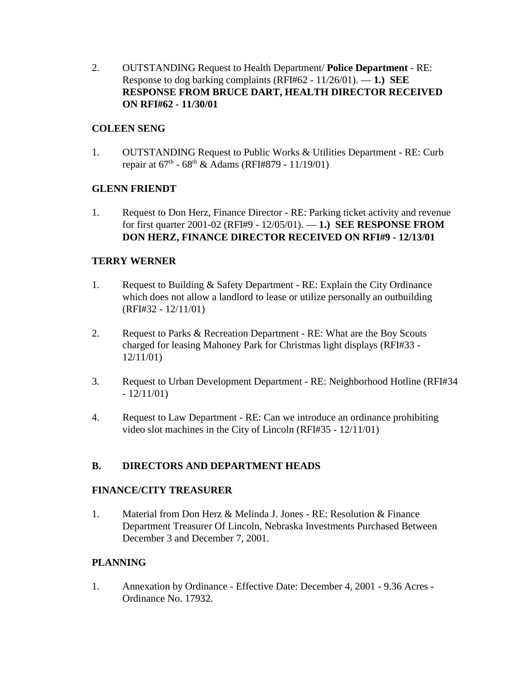2. OUTSTANDING Request to Health Department/ **Police Department** - RE: Response to dog barking complaints (RFI#62 - 11/26/01). — **1.) SEE RESPONSE FROM BRUCE DART, HEALTH DIRECTOR RECEIVED ON RFI#62 - 11/30/01**

## **COLEEN SENG**

1. OUTSTANDING Request to Public Works & Utilities Department - RE: Curb repair at  $67^{th}$  -  $68^{th}$  & Adams (RFI#879 - 11/19/01)

## **GLENN FRIENDT**

1. Request to Don Herz, Finance Director - RE: Parking ticket activity and revenue for first quarter 2001-02 (RFI#9 - 12/05/01). — **1.) SEE RESPONSE FROM DON HERZ, FINANCE DIRECTOR RECEIVED ON RFI#9 - 12/13/01** 

# **TERRY WERNER**

- 1. Request to Building & Safety Department RE: Explain the City Ordinance which does not allow a landlord to lease or utilize personally an outbuilding (RFI#32 - 12/11/01)
- 2. Request to Parks & Recreation Department RE: What are the Boy Scouts charged for leasing Mahoney Park for Christmas light displays (RFI#33 - 12/11/01)
- 3. Request to Urban Development Department RE: Neighborhood Hotline (RFI#34  $-12/11/01$
- 4. Request to Law Department RE: Can we introduce an ordinance prohibiting video slot machines in the City of Lincoln (RFI#35 - 12/11/01)

# **B. DIRECTORS AND DEPARTMENT HEADS**

## **FINANCE/CITY TREASURER**

1. Material from Don Herz & Melinda J. Jones - RE: Resolution & Finance Department Treasurer Of Lincoln, Nebraska Investments Purchased Between December 3 and December 7, 2001.

# **PLANNING**

1. Annexation by Ordinance - Effective Date: December 4, 2001 - 9.36 Acres - Ordinance No. 17932.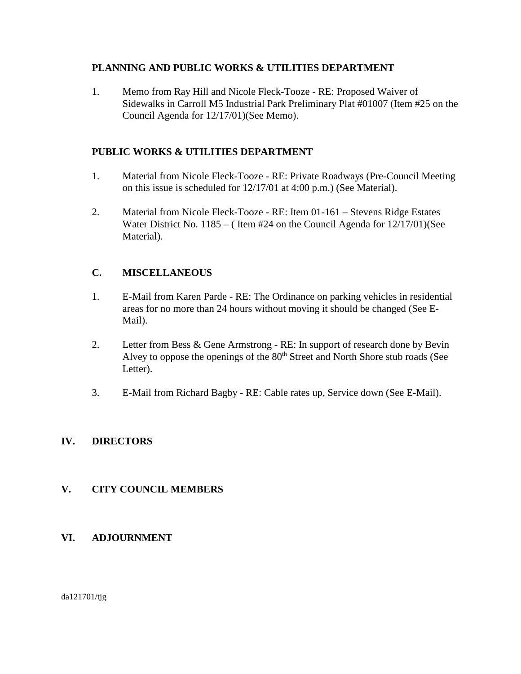## **PLANNING AND PUBLIC WORKS & UTILITIES DEPARTMENT**

1. Memo from Ray Hill and Nicole Fleck-Tooze - RE: Proposed Waiver of Sidewalks in Carroll M5 Industrial Park Preliminary Plat #01007 (Item #25 on the Council Agenda for 12/17/01)(See Memo).

# **PUBLIC WORKS & UTILITIES DEPARTMENT**

- 1. Material from Nicole Fleck-Tooze RE: Private Roadways (Pre-Council Meeting on this issue is scheduled for 12/17/01 at 4:00 p.m.) (See Material).
- 2. Material from Nicole Fleck-Tooze RE: Item 01-161 Stevens Ridge Estates Water District No. 1185 – (Item #24 on the Council Agenda for 12/17/01) (See Material).

# **C. MISCELLANEOUS**

- 1. E-Mail from Karen Parde RE: The Ordinance on parking vehicles in residential areas for no more than 24 hours without moving it should be changed (See E-Mail).
- 2. Letter from Bess & Gene Armstrong RE: In support of research done by Bevin Alvey to oppose the openings of the  $80<sup>th</sup>$  Street and North Shore stub roads (See Letter).
- 3. E-Mail from Richard Bagby RE: Cable rates up, Service down (See E-Mail).

# **IV. DIRECTORS**

# **V. CITY COUNCIL MEMBERS**

## **VI. ADJOURNMENT**

da121701/tjg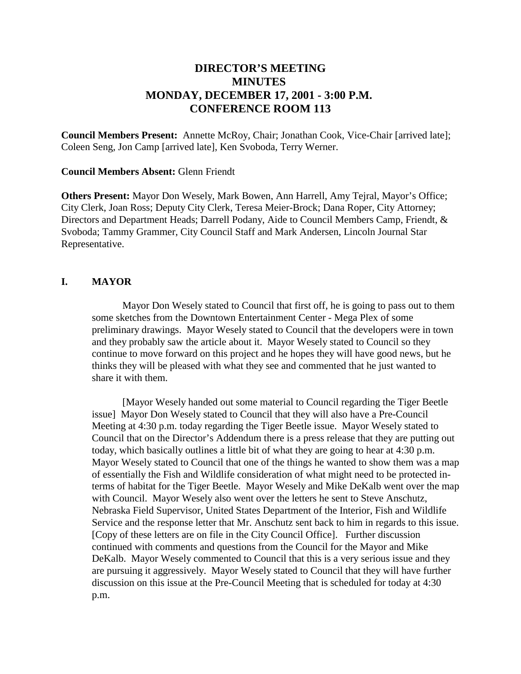# **DIRECTOR'S MEETING MINUTES MONDAY, DECEMBER 17, 2001 - 3:00 P.M. CONFERENCE ROOM 113**

**Council Members Present:** Annette McRoy, Chair; Jonathan Cook, Vice-Chair [arrived late]; Coleen Seng, Jon Camp [arrived late], Ken Svoboda, Terry Werner.

#### **Council Members Absent:** Glenn Friendt

**Others Present:** Mayor Don Wesely, Mark Bowen, Ann Harrell, Amy Tejral, Mayor's Office; City Clerk, Joan Ross; Deputy City Clerk, Teresa Meier-Brock; Dana Roper, City Attorney; Directors and Department Heads; Darrell Podany, Aide to Council Members Camp, Friendt, & Svoboda; Tammy Grammer, City Council Staff and Mark Andersen, Lincoln Journal Star Representative.

### **I. MAYOR**

 Mayor Don Wesely stated to Council that first off, he is going to pass out to them some sketches from the Downtown Entertainment Center - Mega Plex of some preliminary drawings. Mayor Wesely stated to Council that the developers were in town and they probably saw the article about it. Mayor Wesely stated to Council so they continue to move forward on this project and he hopes they will have good news, but he thinks they will be pleased with what they see and commented that he just wanted to share it with them.

[Mayor Wesely handed out some material to Council regarding the Tiger Beetle issue] Mayor Don Wesely stated to Council that they will also have a Pre-Council Meeting at 4:30 p.m. today regarding the Tiger Beetle issue. Mayor Wesely stated to Council that on the Director's Addendum there is a press release that they are putting out today, which basically outlines a little bit of what they are going to hear at 4:30 p.m. Mayor Wesely stated to Council that one of the things he wanted to show them was a map of essentially the Fish and Wildlife consideration of what might need to be protected interms of habitat for the Tiger Beetle. Mayor Wesely and Mike DeKalb went over the map with Council. Mayor Wesely also went over the letters he sent to Steve Anschutz, Nebraska Field Supervisor, United States Department of the Interior, Fish and Wildlife Service and the response letter that Mr. Anschutz sent back to him in regards to this issue. [Copy of these letters are on file in the City Council Office]. Further discussion continued with comments and questions from the Council for the Mayor and Mike DeKalb. Mayor Wesely commented to Council that this is a very serious issue and they are pursuing it aggressively. Mayor Wesely stated to Council that they will have further discussion on this issue at the Pre-Council Meeting that is scheduled for today at 4:30 p.m.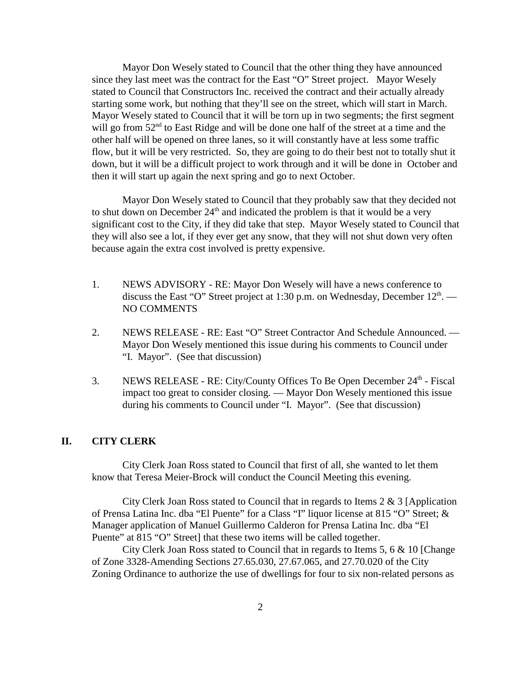Mayor Don Wesely stated to Council that the other thing they have announced since they last meet was the contract for the East "O" Street project. Mayor Wesely stated to Council that Constructors Inc. received the contract and their actually already starting some work, but nothing that they'll see on the street, which will start in March. Mayor Wesely stated to Council that it will be torn up in two segments; the first segment will go from  $52<sup>nd</sup>$  to East Ridge and will be done one half of the street at a time and the other half will be opened on three lanes, so it will constantly have at less some traffic flow, but it will be very restricted. So, they are going to do their best not to totally shut it down, but it will be a difficult project to work through and it will be done in October and then it will start up again the next spring and go to next October.

Mayor Don Wesely stated to Council that they probably saw that they decided not to shut down on December  $24<sup>th</sup>$  and indicated the problem is that it would be a very significant cost to the City, if they did take that step. Mayor Wesely stated to Council that they will also see a lot, if they ever get any snow, that they will not shut down very often because again the extra cost involved is pretty expensive.

- 1. NEWS ADVISORY RE: Mayor Don Wesely will have a news conference to discuss the East "O" Street project at 1:30 p.m. on Wednesday, December  $12<sup>th</sup>$ . — NO COMMENTS
- 2. NEWS RELEASE RE: East "O" Street Contractor And Schedule Announced. Mayor Don Wesely mentioned this issue during his comments to Council under "I. Mayor". (See that discussion)
- 3. NEWS RELEASE RE: City/County Offices To Be Open December  $24<sup>th</sup>$  Fiscal impact too great to consider closing. — Mayor Don Wesely mentioned this issue during his comments to Council under "I. Mayor". (See that discussion)

#### **II. CITY CLERK**

City Clerk Joan Ross stated to Council that first of all, she wanted to let them know that Teresa Meier-Brock will conduct the Council Meeting this evening.

City Clerk Joan Ross stated to Council that in regards to Items 2 & 3 [Application of Prensa Latina Inc. dba "El Puente" for a Class "I" liquor license at 815 "O" Street; & Manager application of Manuel Guillermo Calderon for Prensa Latina Inc. dba "El Puente" at 815 "O" Street] that these two items will be called together.

City Clerk Joan Ross stated to Council that in regards to Items 5, 6 & 10 [Change of Zone 3328-Amending Sections 27.65.030, 27.67.065, and 27.70.020 of the City Zoning Ordinance to authorize the use of dwellings for four to six non-related persons as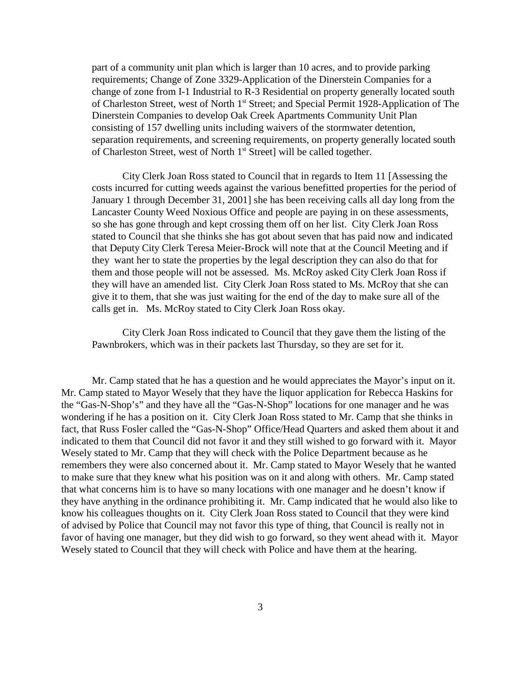part of a community unit plan which is larger than 10 acres, and to provide parking requirements; Change of Zone 3329-Application of the Dinerstein Companies for a change of zone from I-1 Industrial to R-3 Residential on property generally located south of Charleston Street, west of North 1<sup>st</sup> Street; and Special Permit 1928-Application of The Dinerstein Companies to develop Oak Creek Apartments Community Unit Plan consisting of 157 dwelling units including waivers of the stormwater detention, separation requirements, and screening requirements, on property generally located south of Charleston Street, west of North 1<sup>st</sup> Street] will be called together.

City Clerk Joan Ross stated to Council that in regards to Item 11 [Assessing the costs incurred for cutting weeds against the various benefitted properties for the period of January 1 through December 31, 2001] she has been receiving calls all day long from the Lancaster County Weed Noxious Office and people are paying in on these assessments, so she has gone through and kept crossing them off on her list. City Clerk Joan Ross stated to Council that she thinks she has got about seven that has paid now and indicated that Deputy City Clerk Teresa Meier-Brock will note that at the Council Meeting and if they want her to state the properties by the legal description they can also do that for them and those people will not be assessed. Ms. McRoy asked City Clerk Joan Ross if they will have an amended list. City Clerk Joan Ross stated to Ms. McRoy that she can give it to them, that she was just waiting for the end of the day to make sure all of the calls get in. Ms. McRoy stated to City Clerk Joan Ross okay.

City Clerk Joan Ross indicated to Council that they gave them the listing of the Pawnbrokers, which was in their packets last Thursday, so they are set for it.

Mr. Camp stated that he has a question and he would appreciates the Mayor's input on it. Mr. Camp stated to Mayor Wesely that they have the liquor application for Rebecca Haskins for the "Gas-N-Shop's" and they have all the "Gas-N-Shop" locations for one manager and he was wondering if he has a position on it. City Clerk Joan Ross stated to Mr. Camp that she thinks in fact, that Russ Fosler called the "Gas-N-Shop" Office/Head Quarters and asked them about it and indicated to them that Council did not favor it and they still wished to go forward with it. Mayor Wesely stated to Mr. Camp that they will check with the Police Department because as he remembers they were also concerned about it. Mr. Camp stated to Mayor Wesely that he wanted to make sure that they knew what his position was on it and along with others. Mr. Camp stated that what concerns him is to have so many locations with one manager and he doesn't know if they have anything in the ordinance prohibiting it. Mr. Camp indicated that he would also like to know his colleagues thoughts on it. City Clerk Joan Ross stated to Council that they were kind of advised by Police that Council may not favor this type of thing, that Council is really not in favor of having one manager, but they did wish to go forward, so they went ahead with it. Mayor Wesely stated to Council that they will check with Police and have them at the hearing.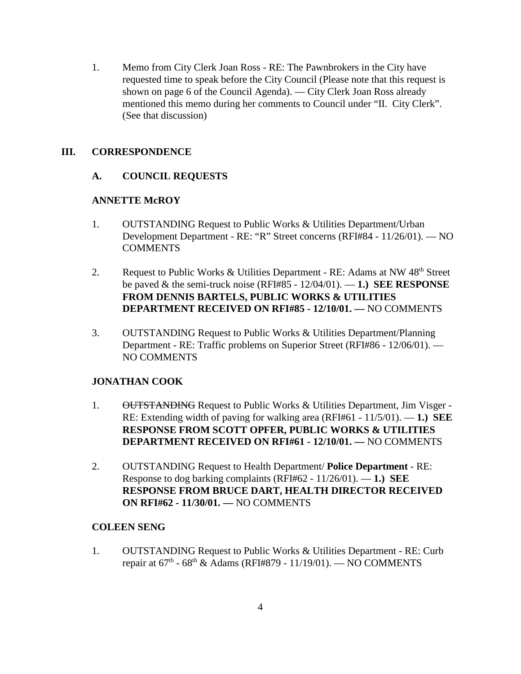1. Memo from City Clerk Joan Ross - RE: The Pawnbrokers in the City have requested time to speak before the City Council (Please note that this request is shown on page 6 of the Council Agenda). — City Clerk Joan Ross already mentioned this memo during her comments to Council under "II. City Clerk". (See that discussion)

### **III. CORRESPONDENCE**

## **A. COUNCIL REQUESTS**

### **ANNETTE McROY**

- 1. OUTSTANDING Request to Public Works & Utilities Department/Urban Development Department - RE: "R" Street concerns (RFI#84 - 11/26/01). — NO **COMMENTS**
- 2. Request to Public Works & Utilities Department RE: Adams at NW  $48<sup>th</sup>$  Street be paved & the semi-truck noise (RFI#85 - 12/04/01). — **1.) SEE RESPONSE FROM DENNIS BARTELS, PUBLIC WORKS & UTILITIES DEPARTMENT RECEIVED ON RFI#85 - 12/10/01. —** NO COMMENTS
- 3. OUTSTANDING Request to Public Works & Utilities Department/Planning Department - RE: Traffic problems on Superior Street (RFI#86 - 12/06/01). — NO COMMENTS

### **JONATHAN COOK**

- 1. OUTSTANDING Request to Public Works & Utilities Department, Jim Visger -RE: Extending width of paving for walking area (RFI#61 - 11/5/01). — **1.) SEE RESPONSE FROM SCOTT OPFER, PUBLIC WORKS & UTILITIES DEPARTMENT RECEIVED ON RFI#61 - 12/10/01. —** NO COMMENTS
- 2. OUTSTANDING Request to Health Department/ **Police Department** RE: Response to dog barking complaints (RFI#62 - 11/26/01). — **1.) SEE RESPONSE FROM BRUCE DART, HEALTH DIRECTOR RECEIVED ON RFI#62 - 11/30/01. —** NO COMMENTS

### **COLEEN SENG**

1. OUTSTANDING Request to Public Works & Utilities Department - RE: Curb repair at  $67^{th}$  -  $68^{th}$  & Adams (RFI#879 - 11/19/01). — NO COMMENTS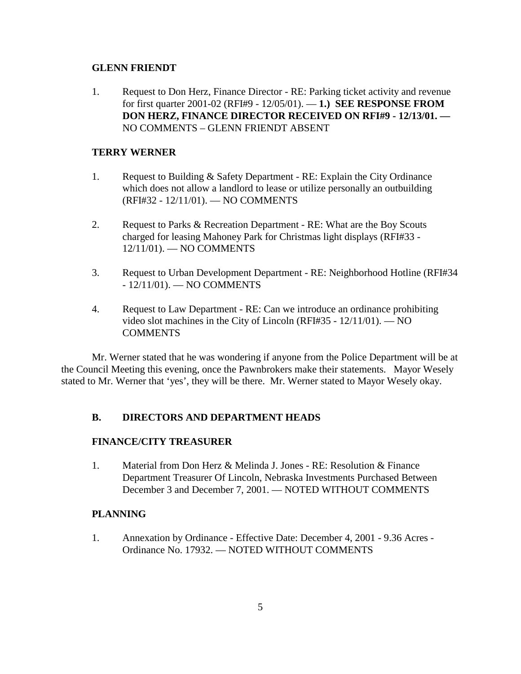#### **GLENN FRIENDT**

1. Request to Don Herz, Finance Director - RE: Parking ticket activity and revenue for first quarter 2001-02 (RFI#9 - 12/05/01). — **1.) SEE RESPONSE FROM DON HERZ, FINANCE DIRECTOR RECEIVED ON RFI#9 - 12/13/01. —**  NO COMMENTS – GLENN FRIENDT ABSENT

## **TERRY WERNER**

- 1. Request to Building & Safety Department RE: Explain the City Ordinance which does not allow a landlord to lease or utilize personally an outbuilding (RFI#32 - 12/11/01). — NO COMMENTS
- 2. Request to Parks & Recreation Department RE: What are the Boy Scouts charged for leasing Mahoney Park for Christmas light displays (RFI#33 - 12/11/01). — NO COMMENTS
- 3. Request to Urban Development Department RE: Neighborhood Hotline (RFI#34 - 12/11/01). — NO COMMENTS
- 4. Request to Law Department RE: Can we introduce an ordinance prohibiting video slot machines in the City of Lincoln (RFI#35 - 12/11/01). — NO **COMMENTS**

Mr. Werner stated that he was wondering if anyone from the Police Department will be at the Council Meeting this evening, once the Pawnbrokers make their statements. Mayor Wesely stated to Mr. Werner that 'yes', they will be there. Mr. Werner stated to Mayor Wesely okay.

### **B. DIRECTORS AND DEPARTMENT HEADS**

### **FINANCE/CITY TREASURER**

1. Material from Don Herz & Melinda J. Jones - RE: Resolution & Finance Department Treasurer Of Lincoln, Nebraska Investments Purchased Between December 3 and December 7, 2001. — NOTED WITHOUT COMMENTS

### **PLANNING**

1. Annexation by Ordinance - Effective Date: December 4, 2001 - 9.36 Acres - Ordinance No. 17932. — NOTED WITHOUT COMMENTS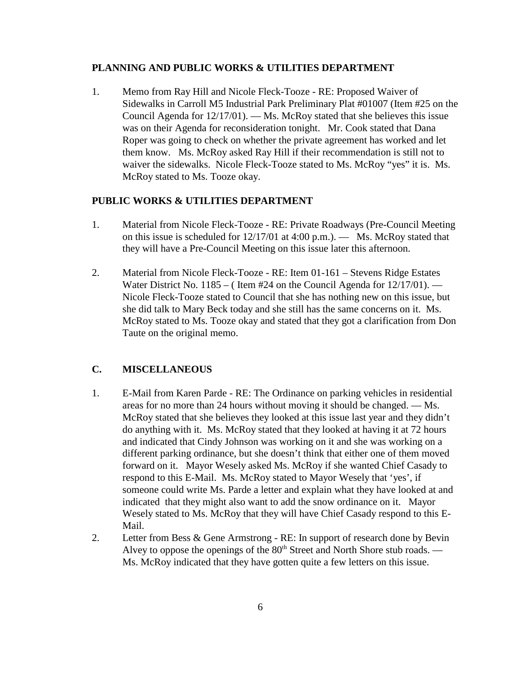#### **PLANNING AND PUBLIC WORKS & UTILITIES DEPARTMENT**

1. Memo from Ray Hill and Nicole Fleck-Tooze - RE: Proposed Waiver of Sidewalks in Carroll M5 Industrial Park Preliminary Plat #01007 (Item #25 on the Council Agenda for 12/17/01). — Ms. McRoy stated that she believes this issue was on their Agenda for reconsideration tonight. Mr. Cook stated that Dana Roper was going to check on whether the private agreement has worked and let them know. Ms. McRoy asked Ray Hill if their recommendation is still not to waiver the sidewalks. Nicole Fleck-Tooze stated to Ms. McRoy "yes" it is. Ms. McRoy stated to Ms. Tooze okay.

#### **PUBLIC WORKS & UTILITIES DEPARTMENT**

- 1. Material from Nicole Fleck-Tooze RE: Private Roadways (Pre-Council Meeting on this issue is scheduled for  $12/17/01$  at  $4:00$  p.m.). — Ms. McRoy stated that they will have a Pre-Council Meeting on this issue later this afternoon.
- 2. Material from Nicole Fleck-Tooze RE: Item 01-161 Stevens Ridge Estates Water District No. 1185 – (Item  $#24$  on the Council Agenda for  $12/17/01$ ). — Nicole Fleck-Tooze stated to Council that she has nothing new on this issue, but she did talk to Mary Beck today and she still has the same concerns on it. Ms. McRoy stated to Ms. Tooze okay and stated that they got a clarification from Don Taute on the original memo.

#### **C. MISCELLANEOUS**

- 1. E-Mail from Karen Parde RE: The Ordinance on parking vehicles in residential areas for no more than 24 hours without moving it should be changed. — Ms. McRoy stated that she believes they looked at this issue last year and they didn't do anything with it. Ms. McRoy stated that they looked at having it at 72 hours and indicated that Cindy Johnson was working on it and she was working on a different parking ordinance, but she doesn't think that either one of them moved forward on it. Mayor Wesely asked Ms. McRoy if she wanted Chief Casady to respond to this E-Mail. Ms. McRoy stated to Mayor Wesely that 'yes', if someone could write Ms. Parde a letter and explain what they have looked at and indicated that they might also want to add the snow ordinance on it. Mayor Wesely stated to Ms. McRoy that they will have Chief Casady respond to this E-Mail.
- 2. Letter from Bess & Gene Armstrong RE: In support of research done by Bevin Alvey to oppose the openings of the  $80<sup>th</sup>$  Street and North Shore stub roads. — Ms. McRoy indicated that they have gotten quite a few letters on this issue.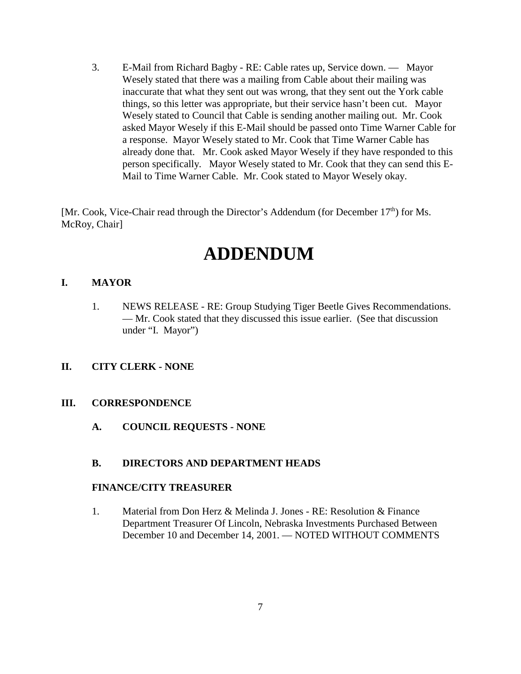3. E-Mail from Richard Bagby - RE: Cable rates up, Service down. — Mayor Wesely stated that there was a mailing from Cable about their mailing was inaccurate that what they sent out was wrong, that they sent out the York cable things, so this letter was appropriate, but their service hasn't been cut. Mayor Wesely stated to Council that Cable is sending another mailing out. Mr. Cook asked Mayor Wesely if this E-Mail should be passed onto Time Warner Cable for a response. Mayor Wesely stated to Mr. Cook that Time Warner Cable has already done that. Mr. Cook asked Mayor Wesely if they have responded to this person specifically. Mayor Wesely stated to Mr. Cook that they can send this E-Mail to Time Warner Cable. Mr. Cook stated to Mayor Wesely okay.

[Mr. Cook, Vice-Chair read through the Director's Addendum (for December  $17<sup>th</sup>$ ) for Ms. McRoy, Chair]

# **ADDENDUM**

## **I. MAYOR**

1. NEWS RELEASE - RE: Group Studying Tiger Beetle Gives Recommendations. — Mr. Cook stated that they discussed this issue earlier. (See that discussion under "I. Mayor")

## **II. CITY CLERK - NONE**

### **III. CORRESPONDENCE**

**A. COUNCIL REQUESTS - NONE**

### **B. DIRECTORS AND DEPARTMENT HEADS**

### **FINANCE/CITY TREASURER**

1. Material from Don Herz & Melinda J. Jones - RE: Resolution & Finance Department Treasurer Of Lincoln, Nebraska Investments Purchased Between December 10 and December 14, 2001. — NOTED WITHOUT COMMENTS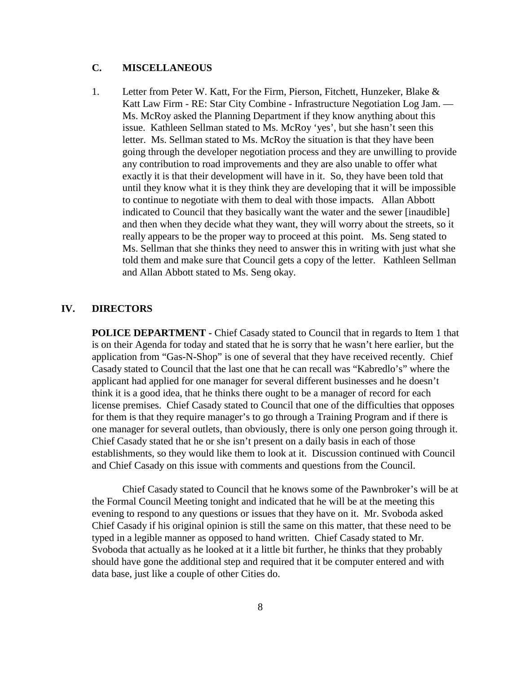## **C. MISCELLANEOUS**

1. Letter from Peter W. Katt, For the Firm, Pierson, Fitchett, Hunzeker, Blake & Katt Law Firm - RE: Star City Combine - Infrastructure Negotiation Log Jam. — Ms. McRoy asked the Planning Department if they know anything about this issue. Kathleen Sellman stated to Ms. McRoy 'yes', but she hasn't seen this letter. Ms. Sellman stated to Ms. McRoy the situation is that they have been going through the developer negotiation process and they are unwilling to provide any contribution to road improvements and they are also unable to offer what exactly it is that their development will have in it. So, they have been told that until they know what it is they think they are developing that it will be impossible to continue to negotiate with them to deal with those impacts. Allan Abbott indicated to Council that they basically want the water and the sewer [inaudible] and then when they decide what they want, they will worry about the streets, so it really appears to be the proper way to proceed at this point. Ms. Seng stated to Ms. Sellman that she thinks they need to answer this in writing with just what she told them and make sure that Council gets a copy of the letter. Kathleen Sellman and Allan Abbott stated to Ms. Seng okay.

#### **IV. DIRECTORS**

**POLICE DEPARTMENT - Chief Casady stated to Council that in regards to Item 1 that** is on their Agenda for today and stated that he is sorry that he wasn't here earlier, but the application from "Gas-N-Shop" is one of several that they have received recently. Chief Casady stated to Council that the last one that he can recall was "Kabredlo's" where the applicant had applied for one manager for several different businesses and he doesn't think it is a good idea, that he thinks there ought to be a manager of record for each license premises. Chief Casady stated to Council that one of the difficulties that opposes for them is that they require manager's to go through a Training Program and if there is one manager for several outlets, than obviously, there is only one person going through it. Chief Casady stated that he or she isn't present on a daily basis in each of those establishments, so they would like them to look at it. Discussion continued with Council and Chief Casady on this issue with comments and questions from the Council.

Chief Casady stated to Council that he knows some of the Pawnbroker's will be at the Formal Council Meeting tonight and indicated that he will be at the meeting this evening to respond to any questions or issues that they have on it. Mr. Svoboda asked Chief Casady if his original opinion is still the same on this matter, that these need to be typed in a legible manner as opposed to hand written. Chief Casady stated to Mr. Svoboda that actually as he looked at it a little bit further, he thinks that they probably should have gone the additional step and required that it be computer entered and with data base, just like a couple of other Cities do.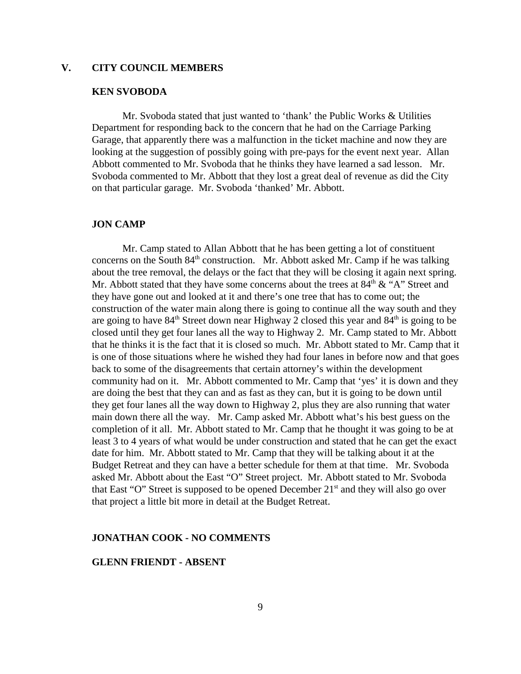#### **V. CITY COUNCIL MEMBERS**

#### **KEN SVOBODA**

Mr. Svoboda stated that just wanted to 'thank' the Public Works & Utilities Department for responding back to the concern that he had on the Carriage Parking Garage, that apparently there was a malfunction in the ticket machine and now they are looking at the suggestion of possibly going with pre-pays for the event next year. Allan Abbott commented to Mr. Svoboda that he thinks they have learned a sad lesson. Mr. Svoboda commented to Mr. Abbott that they lost a great deal of revenue as did the City on that particular garage. Mr. Svoboda 'thanked' Mr. Abbott.

#### **JON CAMP**

Mr. Camp stated to Allan Abbott that he has been getting a lot of constituent concerns on the South  $84<sup>th</sup>$  construction. Mr. Abbott asked Mr. Camp if he was talking about the tree removal, the delays or the fact that they will be closing it again next spring. Mr. Abbott stated that they have some concerns about the trees at  $84<sup>th</sup> \& ^{\circ}$  A" Street and they have gone out and looked at it and there's one tree that has to come out; the construction of the water main along there is going to continue all the way south and they are going to have  $84<sup>th</sup>$  Street down near Highway 2 closed this year and  $84<sup>th</sup>$  is going to be closed until they get four lanes all the way to Highway 2. Mr. Camp stated to Mr. Abbott that he thinks it is the fact that it is closed so much. Mr. Abbott stated to Mr. Camp that it is one of those situations where he wished they had four lanes in before now and that goes back to some of the disagreements that certain attorney's within the development community had on it. Mr. Abbott commented to Mr. Camp that 'yes' it is down and they are doing the best that they can and as fast as they can, but it is going to be down until they get four lanes all the way down to Highway 2, plus they are also running that water main down there all the way. Mr. Camp asked Mr. Abbott what's his best guess on the completion of it all. Mr. Abbott stated to Mr. Camp that he thought it was going to be at least 3 to 4 years of what would be under construction and stated that he can get the exact date for him. Mr. Abbott stated to Mr. Camp that they will be talking about it at the Budget Retreat and they can have a better schedule for them at that time. Mr. Svoboda asked Mr. Abbott about the East "O" Street project. Mr. Abbott stated to Mr. Svoboda that East "O" Street is supposed to be opened December  $21<sup>st</sup>$  and they will also go over that project a little bit more in detail at the Budget Retreat.

#### **JONATHAN COOK - NO COMMENTS**

#### **GLENN FRIENDT - ABSENT**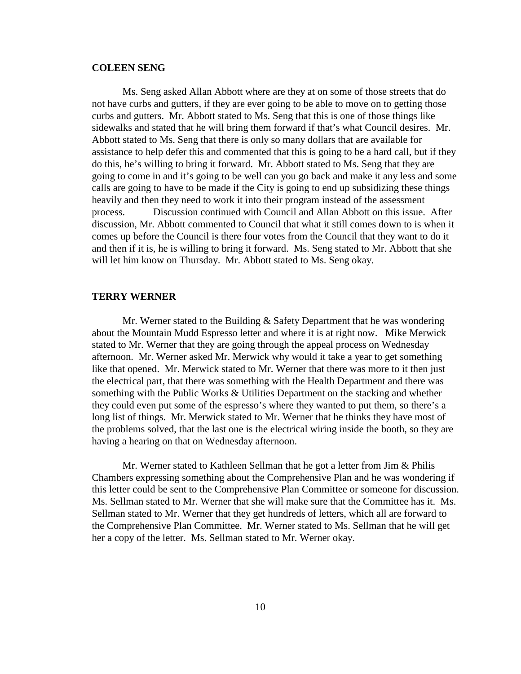#### **COLEEN SENG**

Ms. Seng asked Allan Abbott where are they at on some of those streets that do not have curbs and gutters, if they are ever going to be able to move on to getting those curbs and gutters. Mr. Abbott stated to Ms. Seng that this is one of those things like sidewalks and stated that he will bring them forward if that's what Council desires. Mr. Abbott stated to Ms. Seng that there is only so many dollars that are available for assistance to help defer this and commented that this is going to be a hard call, but if they do this, he's willing to bring it forward. Mr. Abbott stated to Ms. Seng that they are going to come in and it's going to be well can you go back and make it any less and some calls are going to have to be made if the City is going to end up subsidizing these things heavily and then they need to work it into their program instead of the assessment process. Discussion continued with Council and Allan Abbott on this issue. After discussion, Mr. Abbott commented to Council that what it still comes down to is when it comes up before the Council is there four votes from the Council that they want to do it and then if it is, he is willing to bring it forward. Ms. Seng stated to Mr. Abbott that she will let him know on Thursday. Mr. Abbott stated to Ms. Seng okay.

#### **TERRY WERNER**

Mr. Werner stated to the Building & Safety Department that he was wondering about the Mountain Mudd Espresso letter and where it is at right now. Mike Merwick stated to Mr. Werner that they are going through the appeal process on Wednesday afternoon. Mr. Werner asked Mr. Merwick why would it take a year to get something like that opened. Mr. Merwick stated to Mr. Werner that there was more to it then just the electrical part, that there was something with the Health Department and there was something with the Public Works & Utilities Department on the stacking and whether they could even put some of the espresso's where they wanted to put them, so there's a long list of things. Mr. Merwick stated to Mr. Werner that he thinks they have most of the problems solved, that the last one is the electrical wiring inside the booth, so they are having a hearing on that on Wednesday afternoon.

Mr. Werner stated to Kathleen Sellman that he got a letter from Jim & Philis Chambers expressing something about the Comprehensive Plan and he was wondering if this letter could be sent to the Comprehensive Plan Committee or someone for discussion. Ms. Sellman stated to Mr. Werner that she will make sure that the Committee has it. Ms. Sellman stated to Mr. Werner that they get hundreds of letters, which all are forward to the Comprehensive Plan Committee. Mr. Werner stated to Ms. Sellman that he will get her a copy of the letter. Ms. Sellman stated to Mr. Werner okay.